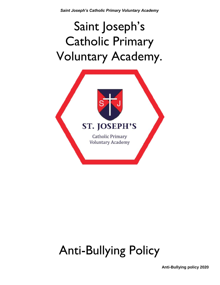# Saint Joseph's Catholic Primary Voluntary Academy.



## Anti-Bullying Policy

**Anti-Bullying policy 2020**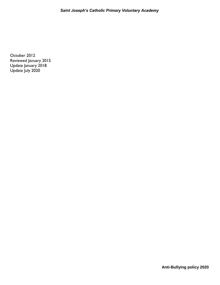*Saint Joseph's Catholic Primary Voluntary Academy*

October 2012 Reviewed January 2015 Update January 2018 Update July 2020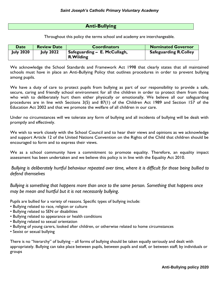## **Anti-Bullying**

Throughout this policy the terms school and academy are interchangeable.

| <b>Date</b>      | <b>Review Date</b> | <b>Coordinators</b>                                | <b>Nominated Governor</b>    |
|------------------|--------------------|----------------------------------------------------|------------------------------|
| <b>July 2020</b> | <b>July 2022</b>   | ' Safeguarding – E. McCullagh,<br><b>R.Wilding</b> | <b>Safeguarding R.Colley</b> |

We acknowledge the School Standards and Framework Act 1998 that clearly states that all maintained schools must have in place an Anti-Bullying Policy that outlines procedures in order to prevent bullying among pupils.

We have a duty of care to protect pupils from bullying as part of our responsibility to provide a safe, secure, caring and friendly school environment for all the children in order to protect them from those who wish to deliberately hurt them either physically or emotionally. We believe all our safeguarding procedures are in line with Sections 3(5) and 87(1) of the Children Act 1989 and Section 157 of the Education Act 2002 and that we promote the welfare of all children in our care.

Under no circumstances will we tolerate any form of bullying and all incidents of bullying will be dealt with promptly and effectively.

We wish to work closely with the School Council and to hear their views and opinions as we acknowledge and support Article 12 of the United Nations Convention on the Rights of the Child that children should be encouraged to form and to express their views.

We as a school community have a commitment to promote equality. Therefore, an equality impact assessment has been undertaken and we believe this policy is in line with the Equality Act 2010.

*Bullying is deliberately hurtful behaviour repeated over time, where it is difficult for those being bullied to defend themselves*

*Bullying is something that happens more than once to the same person. Something that happens once may be mean and hurtful but it is not necessarily bullying.* 

Pupils are bullied for a variety of reasons. Specific types of bullying include:

- Bullying related to race, religion or culture
- Bullying related to SEN or disabilities
- Bullying related to appearance or health conditions
- Bullying related to sexual orientation
- Bullying of young carers, looked after children, or otherwise related to home circumstances
- Sexist or sexual bullying

There is no "hierarchy" of bullying – all forms of bullying should be taken equally seriously and dealt with appropriately. Bullying can take place between pupils, between pupils and staff, or between staff; by individuals or groups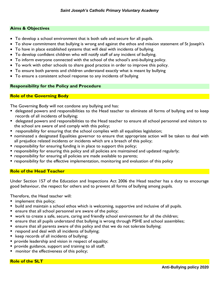## **Aims & Objectives**

- To develop a school environment that is both safe and secure for all pupils.
- To show commitment that bullying is wrong and against the ethos and mission statement of St Joseph's
- To have in place established systems that will deal with incidents of bullying.
- To develop confident children who will notify staff of any incident of bullying.
- To inform everyone connected with the school of the school's anti-bullying policy.
- To work with other schools to share good practice in order to improve this policy.
- To ensure both parents and children understand exactly what is meant by bullying
- To ensure a consistent school response to any incidents of bullying

## **Responsibility for the Policy and Procedure**

## **Role of the Governing Body**

The Governing Body will not condone any bullying and has:

- delegated powers and responsibilities to the Head teacher to eliminate all forms of bullying and to keep records of all incidents of bullying;
- delegated powers and responsibilities to the Head teacher to ensure all school personnel and visitors to the school are aware of and comply with this policy;
- responsibility for ensuring that the school complies with all equalities legislation;
- nominated a designated Equalities governor to ensure that appropriate action will be taken to deal with all prejudice related incidents or incidents which are a breach of this policy;
- **•** responsibility for ensuring funding is in place to support this policy;
- **•** responsibility for ensuring this policy and all policies are maintained and updated regularly;
- **•** responsibility for ensuring all policies are made available to parents;
- **•** responsibility for the effective implementation, monitoring and evaluation of this policy

## **Role of the Head Teacher**

Under Section 157 of the Education and Inspections Act 2006 the Head teacher has a duty to encourage good behaviour, the respect for others and to prevent all forms of bullying among pupils.

Therefore, the Head teacher will:

- **F** implement this policy;
- build and maintain a school ethos which is welcoming, supportive and inclusive of all pupils.
- **E** ensure that all school personnel are aware of the policy;
- work to create a safe, secure, caring and friendly school environment for all the children;
- **EXT** ensure that all pupils understand that bullying is wrong through PSHE and school assemblies;
- **EXT** ensure that all parents aware of this policy and that we do not tolerate bullying;
- **Period 20 Fe** respond and deal with all incidents of bullying;
- **EXECO** records of all incidents of bullying;
- **provide leadership and vision in respect of equality;**
- provide guidance, support and training to all staff;
- monitor the effectiveness of this policy;

## **Role of the SLT**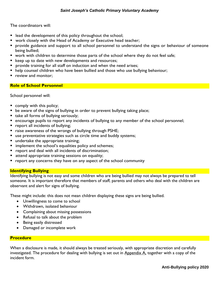The coordinators will:

- **E** lead the development of this policy throughout the school;
- **work closely with the Head of Academy or Executive head teacher;**
- **Perovide guidance and support to all school personnel to understand the signs or behaviour of someone** being bullied;
- **•** work with children to determine those parts of the school where they do not feel safe;
- **E** keep up to date with new developments and resources;
- **Perovide training for all staff on induction and when the need arises;**
- help counsel children who have been bullied and those who use bullying behaviour;
- **P** review and monitor:

#### **Role of School Personnel**

School personnel will:

- **comply with this policy;**
- **•** be aware of the signs of bullying in order to prevent bullying taking place;
- take all forms of bullying seriously;
- encourage pupils to report any incidents of bullying to any member of the school personnel;
- **Periodents of bullying;**
- **The automate is a state in the wrongs of bullying through PSHE;**
- use preventative strategies such as circle time and buddy systems;
- undertake the appropriate training;
- **IF** implement the school's equalities policy and schemes;
- **•** report and deal with all incidents of discrimination;
- **E** attend appropriate training sessions on equality;
- **•** report any concerns they have on any aspect of the school community

## **Identifying Bullying**

Identifying bullying is not easy and some children who are being bullied may not always be prepared to tell someone. It is important therefore that members of staff, parents and others who deal with the children are observant and alert for signs of bullying.

These might include: this does not mean children displaying these signs are being bullied.

- Unwillingness to come to school
- Withdrawn, isolated behaviour
- **•** Complaining about missing possessions
- Refusal to talk about the problem
- Being easily distressed
- Damaged or incomplete work

#### **Procedure**

When a disclosure is made, it should always be treated seriously, with appropriate discretion and carefully investigated. The procedure for dealing with bullying is set out in Appendix A, together with a copy of the incident form.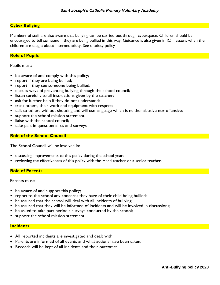## **Cyber Bullying**

Members of staff are also aware that bullying can be carried out through cyberspace. Children should be encouraged to tell someone if they are being bullied in this way. Guidance is also given in ICT lessons when the children are taught about Internet safety. See e-safety policy

#### **Role of Pupils**

Pupils must:

- **be aware of and comply with this policy;**
- **P** report if they are being bullied;
- **P** report if they see someone being bullied;
- discuss ways of preventing bullying through the school council;
- **I** listen carefully to all instructions given by the teacher;
- s ask for further help if they do not understand;
- **treat others, their work and equipment with respect;**
- talk to others without shouting and will use language which is neither abusive nor offensive;
- support the school mission statement;
- liaise with the school council:
- $\blacksquare$  take part in questionnaires and surveys

#### **Role of the School Council**

The School Council will be involved in:

- discussing improvements to this policy during the school year;
- reviewing the effectiveness of this policy with the Head teacher or a senior teacher.

#### **Role of Parents**

Parents must:

- **be aware of and support this policy;**
- **•** report to the school any concerns they have of their child being bullied;
- **•** be assured that the school will deal with all incidents of bullying;
- be assured that they will be informed of incidents and will be involved in discussions;
- **be asked to take part periodic surveys conducted by the school;**
- support the school mission statement

#### **Incidents**

- All reported incidents are investigated and dealt with.
- Parents are informed of all events and what actions have been taken.
- Records will be kept of all incidents and their outcomes.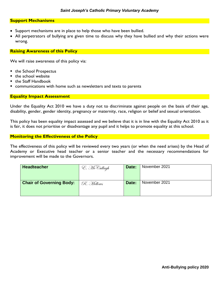#### **Support Mechanisms**

- Support mechanisms are in place to help those who have been bullied.
- All perpetrators of bullying are given time to discuss why they have bullied and why their actions were wrong.

#### **Raising Awareness of this Policy**

We will raise awareness of this policy via:

- the School Prospectus
- the school website
- the Staff Handbook
- communications with home such as newsletters and texts to parents

#### **Equality Impact Assessment**

Under the Equality Act 2010 we have a duty not to discriminate against people on the basis of their age, disability, gender, gender identity, pregnancy or maternity, race, religion or belief and sexual orientation.

This policy has been equality impact assessed and we believe that it is in line with the Equality Act 2010 as it is fair, it does not prioritise or disadvantage any pupil and it helps to promote equality at this school.

#### **Monitoring the Effectiveness of the Policy**

The effectiveness of this policy will be reviewed every two years (or when the need arises) by the Head of Academy or Executive head teacher or a senior teacher and the necessary recommendations for improvement will be made to the Governors.

| <b>Headteacher</b>              | E. McCullagh | Date: | November 2021 |  |  |  |  |  |
|---------------------------------|--------------|-------|---------------|--|--|--|--|--|
|                                 |              |       |               |  |  |  |  |  |
| <b>Chair of Governing Body:</b> | R. Mellows   | Date: | November 2021 |  |  |  |  |  |
|                                 |              |       |               |  |  |  |  |  |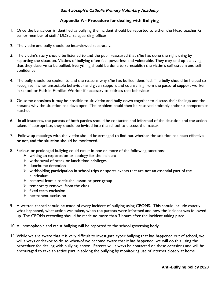#### *Saint Joseph's Catholic Primary Voluntary Academy*

## **Appendix A - Procedure for dealing with Bullying**

- 1. Once the behaviour is identified as bullying the incident should be reported to either the Head teacher /a senior member of staff / DDSL, Safeguarding officer.
- 2. The victim and bully should be interviewed separately.
- 3. The victim's story should be listened to and the pupil reassured that s/he has done the right thing by reporting the situation. Victims of bullying often feel powerless and vulnerable. They may end up believing that they deserve to be bullied. Everything should be done to re-establish the victim's self-esteem and selfconfidence.
- 4. The bully should be spoken to and the reasons why s/he has bullied identified. The bully should be helped to recognise his/her unsociable behaviour and given support and counselling from the pastoral support worker in school or Faith in Families Worker if necessary to address that behaviour.
- 5. On some occasions it may be possible to sit victim and bully down together to discuss their feelings and the reasons why the situation has developed. The problem could then be resolved amicably and/or a compromise reached
- 6. In all instances, the parents of both parties should be contacted and informed of the situation and the action taken. If appropriate, they should be invited into the school to discuss the matter.
- 7. Follow up meetings with the victim should be arranged to find out whether the solution has been effective or not, and the situation should be monitored.
- 8. Serious or prolonged bullying could result in one or more of the following sanctions:
	- $\triangleright$  writing an explanation or apology for the incident
	- $\triangleright$  withdrawal of break or lunch time privileges
	- $\blacktriangleright$  lunchtime detention
	- $\triangleright$  withholding participation in school trips or sports events that are not an essential part of the curriculum
	- $\triangleright$  removal from a particular lesson or peer group
	- $\triangleright$  temporary removal from the class
	- $\triangleright$  fixed term exclusion
	- $\triangleright$  permanent exclusion
- 9. A written record should be made of every incident of bullying using CPOMS. This should include exactly what happened, what action was taken, when the parents were informed and how the incident was followed up. The CPOMs recording should be made no more than 3 hours after the incident taking place.
- 10. All homophobic and racist bullying will be reported to the school governing body.
- 11.While we are aware that it is very difficult to investigate cyber bullying that has happened out of school, we will always endeavor to do so when/of we become aware that it has happened, we will do this using the procedure for dealing with bullying, above. Parents will always be contacted on these occasions and will be encouraged to take an active part in solving the bullying by monitoring use of internet closely at home